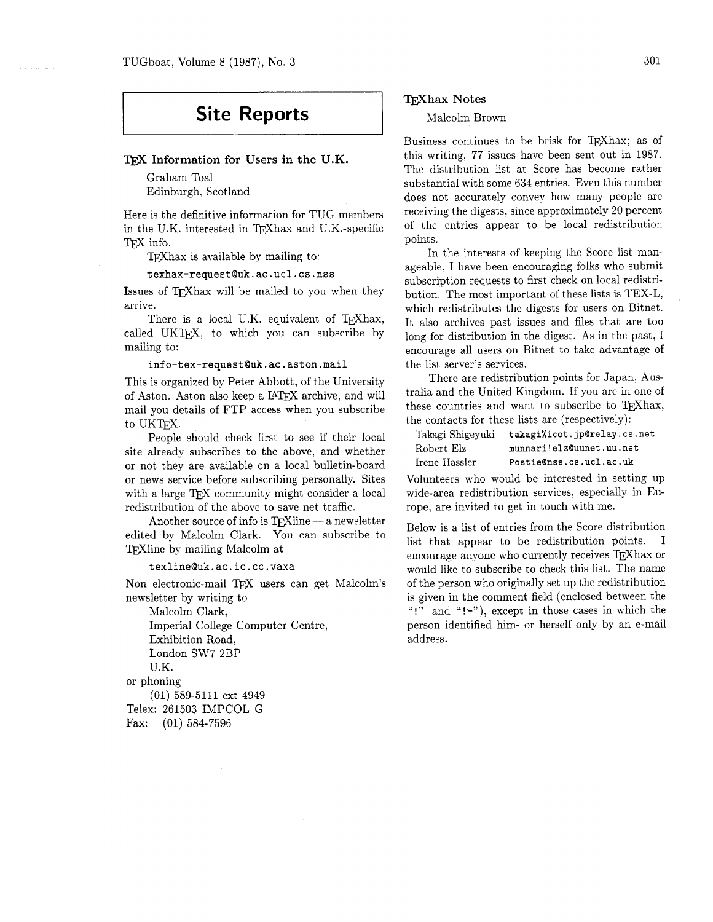# **Site Reports**

#### TFX Information for Users in the U.K.

Graham Toal Edinburgh, Scotland

Here is the definitive information for TUG members in the U.K. interested in TEXhax and U.K.-specific TFX info.

TEXhax is available by mailing to:

texhax-request@uk.ac.ucl.cs.nss

Issues of T<sub>F</sub>Xhax will be mailed to you when they arrive.

There is a local U.K. equivalent of TFXhax, called UKTEX, to which you can subscribe by mailing to:

#### info-tex-requestQuk.ac.aston.mail

This is organized by Peter Abbott, of the University of Aston. Aston also keep a IAT<sub>E</sub>X archive, and will mail you details of FTP access when you subscribe to UKTFX.

People should check first to see if their local site already subscribes to the above, and whether or not they are available on a local bulletin-board or news service before subscribing personally. Sites with a large TEX community might consider a local redistribution of the above to save net traffic.

Another source of info is  $Tr$ Xline  $-$  a newsletter edited by Malcolm Clark. You can subscribe to TEXIIne by mailing Malcolm at

texlineQuk.ac.ic.cc.vaxa

Non electronic-mail TFX users can get Malcolm's newsletter by writing to

Malcolm Clark, Imperial College Computer Centre, Exhibition Road, London SW7 2BP U.K. or phoning (01) 589-5111 ext 4949 Telex: 261503 IMPCOL G Fax: (01) 584-7596

### **Whax** Notes

Malcolm Brown

Business continues to be brisk for TFXhax; as of this writing, 77 issues have been sent out in 1987. The distribution list at Score has become rather substantial with some 634 entries. Even this number does not accurately convey how many people are receiving the digests, since approximately 20 percent of the entries appear to be local redistribution points.

In the interests of keeping the Score list manageable, I have been encouraging folks who submit subscription requests to first check on local redistribution. The most important of these lists is TEX-L, which redistributes the digests for users on Bitnet. It also archives past issues and files that are too long for distribution in the digest. As in the past, I encourage all users on Bitnet to take advantage of the list server's services.

There are redistribution points for Japan. Australia and the United Kingdom. If you are in one of these countries and want to subscribe to T<sub>F</sub>Xhax, the contacts for these lists are (respectively) :

| Takagi Shigeyuki | takagi%icot.jp@relay.cs.net |
|------------------|-----------------------------|
| Robert Elz       | munnari!elzQuunet.uu.net    |
| Irene Hassler    | Postie@nss.cs.ucl.ac.uk     |

Volunteers who would be interested in setting up wide-area redistribution services, especially in Europe. are invited to get in touch with me.

Below is a list of entries from the Score distribution list that appear to be redistribution points. I encourage anyone who currently receives TEXhax or would like to subscribe to check this list. The name of the person who originally set up the redistribution is given in the comment field (enclosed between the "!" and " $(-$ "), except in those cases in which the person identified him- or herself only by an e-mail address.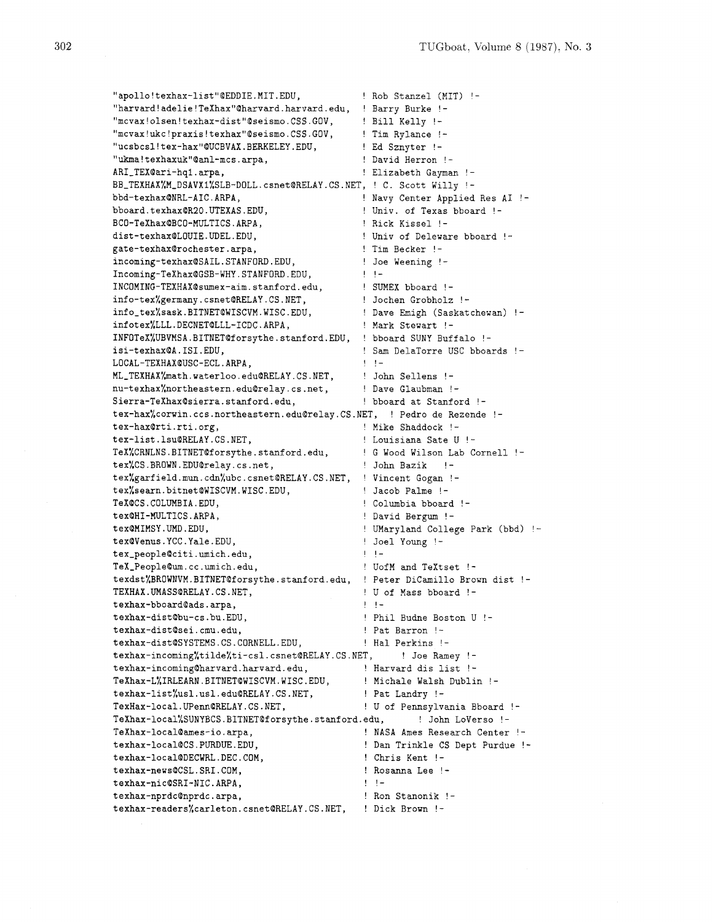| "apollo!texhax-list"@EDDIE.MIT.EDU,                                   | ! Rob Stanzel (MIT) !-                                      |
|-----------------------------------------------------------------------|-------------------------------------------------------------|
| "harvard!adelie!TeXhax"@harvard.harvard.edu,                          | ! Barry Burke !-                                            |
| "mcvax!olsen!texhax-dist"@seismo.CSS.GOV,                             | ! Bill Kelly !-                                             |
| "mcvax!ukc!praxis!texhax"@seismo.CSS.GOV,                             | ! Tim Rylance !-                                            |
| "ucsbcsl!tex-hax"@UCBVAX.BERKELEY.EDU,                                | ! Ed Sznyter !-                                             |
| "ukma!texhaxuk"@anl-mcs.arpa,                                         | ! David Herron !-                                           |
| ARI_TEX@ari-hq1.arpa,                                                 | ! Elizabeth Gayman !-                                       |
| BB_TEXHAX',M_DSAVX1',SLB-DOLL.csnet@RELAY.CS.NET, ! C. Scott Willy !- |                                                             |
| bbd-texhax@NRL-AIC.ARPA,                                              | ! Navy Center Applied Res AI !-                             |
| bboard.texhax@R20.UTEXAS.EDU,                                         | ! Univ. of Texas bboard !-                                  |
| BCO-TeXhax@BCO-MULTICS.ARPA,                                          | ! Rick Kissel !-                                            |
| dist-texhax@LOUIE.UDEL.EDU,                                           | ! Univ of Deleware bboard !-                                |
| gate-texhax@rochester.arpa,                                           | ! Tim Becker !-                                             |
| incoming-texhax@SAIL.STANFORD.EDU,                                    | Joe Weening !-                                              |
| Incoming-TeXhax@GSB-WHY.STANFORD.EDU,                                 | !!-                                                         |
| INCOMING-TEXHAX@sumex-aim.stanford.edu,                               | ! SUMEX bboard !-                                           |
| info-tex%germany.csnet@RELAY.CS.NET,                                  | ! Jochen Grobholz !-                                        |
| info_tex%sask.BITNET@WISCVM.WISC.EDU,                                 | ! Dave Emigh (Saskatchewan) !-                              |
| infotex%LLL.DECNET@LLL-ICDC.ARPA,                                     | ! Mark Stewart !-                                           |
|                                                                       |                                                             |
| INFOTeX%UBVMSA.BITNET@forsythe.stanford.EDU,                          | ! bboard SUNY Buffalo !-                                    |
| isi-texhax@A.ISI.EDU,                                                 | ! Sam DelaTorre USC bboards !-<br>$\mathbf{1}$ $\mathbf{1}$ |
| LOCAL-TEXHAX@USC-ECL.ARPA,                                            |                                                             |
| ML_TEXHAX',math.waterloo.edu@RELAY.CS.NET,                            | ! John Sellens !-                                           |
| nu-texhax%northeastern.edu@relay.cs.net,                              | ! Dave Glaubman !-                                          |
| Sierra-TeXhax@sierra.stanford.edu,<br>bboard at Stanford !-           |                                                             |
| tex-hax%corwin.ccs.northeastern.edu@relay.CS.NET,                     | ! Pedro de Rezende !-                                       |
| tex-hax@rti.rti.org,                                                  | ! Mike Shaddock !-                                          |
| tex-list.lsu@RELAY.CS.NET,                                            | ! Louisiana Sate U !-                                       |
| TeX%CRNLNS.BITNET@forsythe.stanford.edu,                              | ! G Wood Wilson Lab Cornell !-                              |
| tex%CS.BROWN.EDU@relay.cs.net,                                        | ! John Bazik<br>$\frac{1}{2}$                               |
| tex%garfield.mun.cdn%ubc.csnet@RELAY.CS.NET,                          | ! Vincent Gogan !-                                          |
| tex%searn.bitnet@WISCVM.WISC.EDU,                                     | ! Jacob Palme !-                                            |
| TeX@CS.COLUMBIA.EDU,                                                  | ! Columbia bboard !-                                        |
| tex@HI-MULTICS.ARPA,                                                  | ! David Bergum !-                                           |
| tex@MIMSY.UMD.EDU,                                                    | ! UMaryland College Park (bbd) !-                           |
| tex@Venus.YCC.Yale.EDU,                                               | ! Joel Young !-                                             |
| tex_people@citi.umich.edu,                                            | ! !-                                                        |
| TeX_People@um.cc.umich.edu,                                           | ! UofM and TeXtset !-                                       |
| texdst%BROWNVM.BITNET@forsythe.stanford.edu,                          | ! Peter DiCamillo Brown dist !-                             |
| TEXHAX.UMASS@RELAY.CS.NET,                                            | ! U of Mass bboard !-                                       |
| texhax-bboard@ads.arpa,                                               | !!-                                                         |
| texhax-dist@bu-cs.bu.EDU,                                             | ! Phil Budne Boston U !-                                    |
| texhax-dist@sei.cmu.edu,                                              | ! Pat Barron !-                                             |
| texhax-dist@SYSTEMS.CS.CORNELL.EDU.                                   | ! Hal Perkins !-                                            |
| texhax-incoming%tilde%ti-csl.csnet@RELAY.CS.NET,                      | ! Joe Ramey !-                                              |
| texhax-incoming@harvard.harvard.edu,                                  | ! Harvard dis list !-                                       |
| TeXhax-LXIRLEARN.BITNET@WISCVM.WISC.EDU,                              | ! Michale Walsh Dublin !-                                   |
| texhax-list%usl.usl.edu@RELAY.CS.NET,                                 | ! Pat Landry !-                                             |
| TexHax-local. UPenn@RELAY.CS.NET,                                     | ! U of Pennsylvania Bboard !-                               |
| TeXhax-local%SUNYBCS.BITNET@forsythe.stanford.edu,                    | ! John LoVerso !-                                           |
| TeXhax-local@ames-io.arpa,                                            | ! NASA Ames Research Center !-                              |
| texhax-local@CS.PURDUE.EDU,                                           | ! Dan Trinkle CS Dept Purdue !-                             |
| texhax-local@DECWRL.DEC.COM,                                          | ! Chris Kent !-                                             |
| texhax-news@CSL.SRI.COM,                                              | ! Rosanna Lee !-                                            |
| texhax-nic@SRI-NIC.ARPA,                                              | !!-                                                         |
| texhax-nprdc@nprdc.arpa,                                              | ! Ron Stanonik !-                                           |
| texhax-readers%carleton.csnet@RELAY.CS.NET,                           | ! Dick Brown !-                                             |
|                                                                       |                                                             |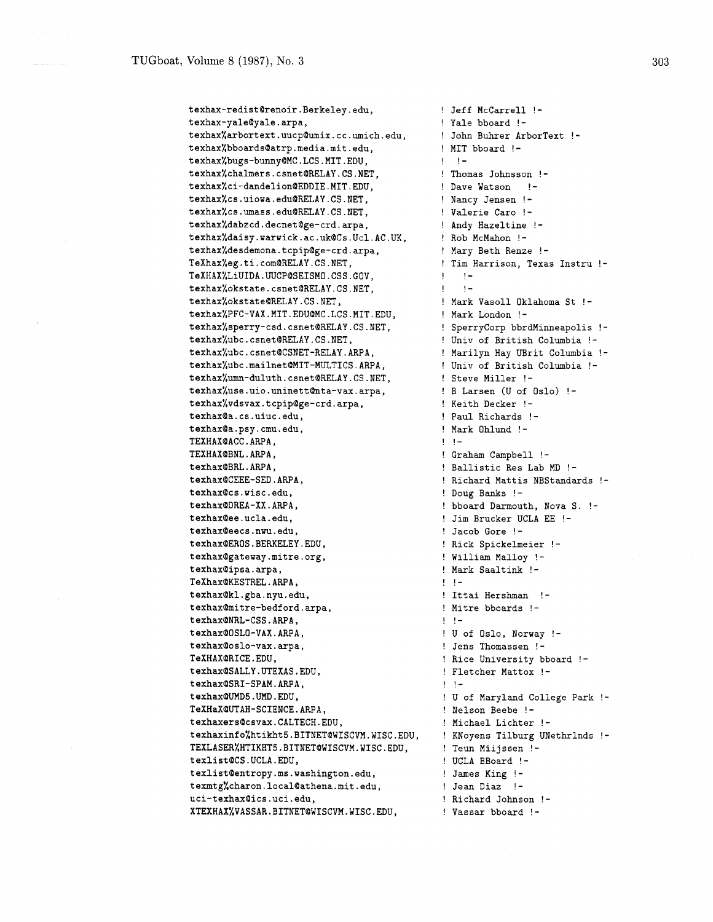texhax-redist@renoir.Berkeley.edu, texhax-yale@yale.arpa, texhax%arbortext.uucp@umix.cc.umich.edu, texhax%bboards@atrp.media.mit.edu, texhax%bugs-bunny@MC.LCS.MIT.EDU, texhax%chalmers.csnet@RELAY.CS.NET, texhax%ci-dandelion@EDDIE.MIT.EDU, texhax%cs.uiowa.edu@RELAY.CS.NET, texhax%cs.umass.edu@RELAY.CS.NET, texhax%dabzcd.decnet@ge-crd.arpa, texhax%daisy.warwick.ac.uk@Cs.Ucl.AC.UK, texhax%desdemona.tcpip@ge-crd.arpa, TeXhax%eg.ti.com@RELAY.CS.NET, TeXHAX%LiUIDA.UUCP@SEISMO.CSS.GOV, texhax%okstate.csnet@RELAY.CS.NET, texhax%okstate@RELAY.CS.NET, texhax%PFC-VAX.MIT.EDU@MC.LCS.MIT.EDU, texhax%sperry-csd.csnet@RELAY.CS.NET, texhax%ubc.csnet@RELAY.CS.NET, texhax%ubc.csnet@CSNET-RELAY.ARPA, texhax%ubc.mailnet@MIT-MULTICS.ARPA, texhax%umn-duluth.csnet@RELAY.CS.NET, texhax%use.uio.uninett@nta-vax.arpa, texhax%vdsvax.tcpip@ge-crd.arpa, texhax@a.cs.uiuc.edu, texhax@a.psy.cmu.edu, TEXHAX@ACC.ARPA, TEXHAX@BNL.ARPA, texhax@BRL.ARPA, texhax@CEEE-SED.ARPA, texhax@cs.wisc.edu. texhax@DREA-XX.ARPA, texhax@ee.ucla.edu, texhax@eecs.nwu.edu, texhax@EROS.BERKELEY.EDU, texhax@gateway.mitre.org, texhax@ipsa.arpa, TeXhax@KESTREL.ARPA, texhax@kl.gba.nyu.edu, texhax@mitre-bedford.arpa, texhax@NRL-CSS.ARPA, texhax@OSLO-VAX.ARPA, texhax@oslo-vax.arpa, TeXHAX@RICE.EDU. texhax@SALLY.UTEXAS.EDU, texhax@SRI-SPAM.ARPA, texhax@UMD5.UMD.EDU, TeXHaX@UTAH-SCIENCE.ARPA, texhaxers@csvax.CALTECH.EDU, texhaxinfo%htikht5.BITNET@WISCVM.WISC.EDU, TEXLASERXHTIKHT5.BITNET@WISCVM.WISC.EDU, texlist@CS.UCLA.EDU, texlist@entropy.ms.washington.edu, texmtg%charon.local@athena.mit.edu, uci-texhax@ics.uci.edu, XTEXHAX%VASSAR.BITNET@WISCVM.WISC.EDU,

! Jeff McCarrell !- ! Yale bboard !- ! John Buhrer ArborText !- ! MIT bboard !-  $1 - 1 -$ ! Thomas Johnsson ! Dave Watson ! ! Nancy Jensen !- ! Valerie Caro !- ! Andy Hazeltine ! ! Rob McMahon !- ! Mary Beth Renze !- ! Tim Harrison, Texas Instru !-  $! \cdot \cdot!$  $1 - 1 -$ ! Mark Vasoll Oklahoma St !- ! Mark London !- ! SperryCorp bbrdMinneapolis !-! Univ of British Columbia !- ! Marilyn Hay UBrit Columbia !- ! Univ of British Columbia !- ! Steve Miller ! - ! B Larsen (U of Oslo) !- ! Keith Decker !- ! Paul Richards !- ! Mark Ohlund !-  $1 - 1 -$ ! Graham Campbell !- ! Ballistic Res Lab MD !- ! Richard Mattis NBStandards !- ! Doug Banks !- ! bboard Darmouth, Nova S. !- ! Jim Brucker UCLA EE !- ! Jacob Gore !- ! Rick Spickelmeier !- ! William Malloy !- ! Mark Saaltink !-  $! \cdot !$   $-$ ! Ittai Hershman !- ! Mitre bboards !-  $! \cdot!$ ! U of Oslo, Norway !- ! Jens Thomassen !- ! Rice University bboard !- ! Fletcher Mattox !-  $! - ! -$ ! U of Maryland College Park !- ! Nelson Beebe !-! Michael Lichter !- ! KNoyens Tilburg UNethrlnds !- ! Teun Miijssen !- ! UCLA BBoard !- ! James King !- ! Jean Diaz !- ! Richard Johnson !- ! Vassar bboard !-